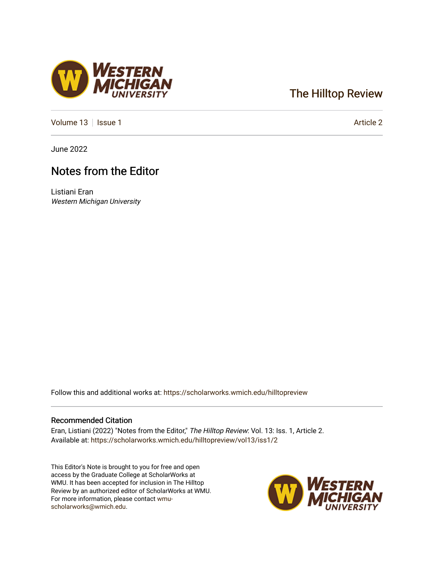# [The Hilltop Review](https://scholarworks.wmich.edu/hilltopreview)

[Volume 13](https://scholarworks.wmich.edu/hilltopreview/vol13) | [Issue 1](https://scholarworks.wmich.edu/hilltopreview/vol13/iss1) Article 2

June 2022

## Notes from the Editor

Listiani Eran Western Michigan University

Follow this and additional works at: [https://scholarworks.wmich.edu/hilltopreview](https://scholarworks.wmich.edu/hilltopreview?utm_source=scholarworks.wmich.edu%2Fhilltopreview%2Fvol13%2Fiss1%2F2&utm_medium=PDF&utm_campaign=PDFCoverPages)

#### Recommended Citation

Eran, Listiani (2022) "Notes from the Editor," The Hilltop Review: Vol. 13: Iss. 1, Article 2. Available at: [https://scholarworks.wmich.edu/hilltopreview/vol13/iss1/2](https://scholarworks.wmich.edu/hilltopreview/vol13/iss1/2?utm_source=scholarworks.wmich.edu%2Fhilltopreview%2Fvol13%2Fiss1%2F2&utm_medium=PDF&utm_campaign=PDFCoverPages) 

This Editor's Note is brought to you for free and open access by the Graduate College at ScholarWorks at WMU. It has been accepted for inclusion in The Hilltop Review by an authorized editor of ScholarWorks at WMU. For more information, please contact [wmu](mailto:wmu-scholarworks@wmich.edu)[scholarworks@wmich.edu.](mailto:wmu-scholarworks@wmich.edu)